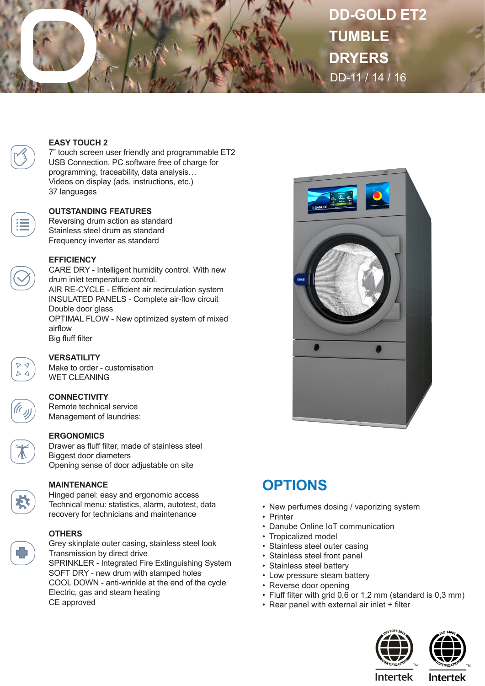

# **DD-GOLD ET2 TUMBLE DRYERS** DD-11 / 14 / 16

#### **EASY TOUCH 2**

7" touch screen user friendly and programmable ET2 USB Connection. PC software free of charge for programming, traceability, data analysis… Videos on display (ads, instructions, etc.) 37 languages

#### **OUTSTANDING FEATURES**

Reversing drum action as standard Stainless steel drum as standard Frequency inverter as standard

#### **EFFICIENCY**

CARE DRY - Intelligent humidity control. With new drum inlet temperature control. AIR RE-CYCLE - Efficient air recirculation system INSULATED PANELS - Complete air-flow circuit Double door glass OPTIMAL FLOW - New optimized system of mixed airflow Big fluff filter

 $D \triangleleft$  $\wedge$   $\wedge$ 

## **VERSATILITY**

Make to order - customisation WET CLEANING

#### **CONNECTIVITY**

Remote technical service Management of laundries:

#### **ERGONOMICS**

Drawer as fluff filter, made of stainless steel Biggest door diameters Opening sense of door adjustable on site

**MAINTENANCE**

Hinged panel: easy and ergonomic access Technical menu: statistics, alarm, autotest, data recovery for technicians and maintenance

### **OTHERS**

Grey skinplate outer casing, stainless steel look Transmission by direct drive SPRINKLER - Integrated Fire Extinguishing System SOFT DRY - new drum with stamped holes COOL DOWN - anti-wrinkle at the end of the cycle Electric, gas and steam heating CE approved



## **OPTIONS**

- New perfumes dosing / vaporizing system
- Printer
- Danube Online IoT communication
- Tropicalized model
- Stainless steel outer casing
- Stainless steel front panel
- Stainless steel battery
- Low pressure steam battery
- Reverse door opening
- Fluff filter with grid 0,6 or 1,2 mm (standard is 0,3 mm)
- Rear panel with external air inlet + filter